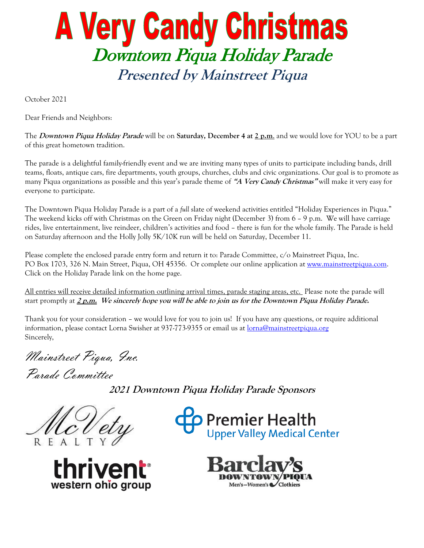## **A Very Candy Christmas** Downtown Piqua Holiday Parade **Presented by Mainstreet Piqua**

October 2021

Dear Friends and Neighbors:

The **Downtown Piqua Holiday Parade** will be on **Saturday, December 4 at 2 p.m**. and we would love for YOU to be a part of this great hometown tradition.

The parade is a delightful family-friendly event and we are inviting many types of units to participate including bands, drill teams, floats, antique cars, fire departments, youth groups, churches, clubs and civic organizations. Our goal is to promote as many Piqua organizations as possible and this year's parade theme of **"A Very Candy Christmas"** will make it very easy for everyone to participate.

The Downtown Piqua Holiday Parade is a part of a *full* slate of weekend activities entitled "Holiday Experiences in Piqua." The weekend kicks off with Christmas on the Green on Friday night (December 3) from 6 – 9 p.m. We will have carriage rides, live entertainment, live reindeer, children's activities and food – there is fun for the whole family. The Parade is held on Saturday afternoon and the Holly Jolly 5K/10K run will be held on Saturday, December 11.

Please complete the enclosed parade entry form and return it to: Parade Committee, c/o Mainstreet Piqua, Inc. PO Box 1703, 326 N. Main Street, Piqua, OH 45356. Or complete our online application at [www.mainstreetpiqua.com.](http://www.mainstreetpiqua.com/) Click on the Holiday Parade link on the home page.

All entries will receive detailed information outlining arrival times, parade staging areas, etc. Please note the parade will start promptly at **2 p.m. We sincerely hope you will be able to join us for the Downtown Piqua Holiday Parade.** 

Thank you for your consideration – we would love for you to join us! If you have any questions, or require additional information, please contact Lorna Swisher at 937-773-9355 or email us at lorna@mainstreetpiqua.org Sincerely,

Mainstreet Piqua, Inc.

Parade Committee

**2021 Downtown Piqua Holiday Parade Sponsors**